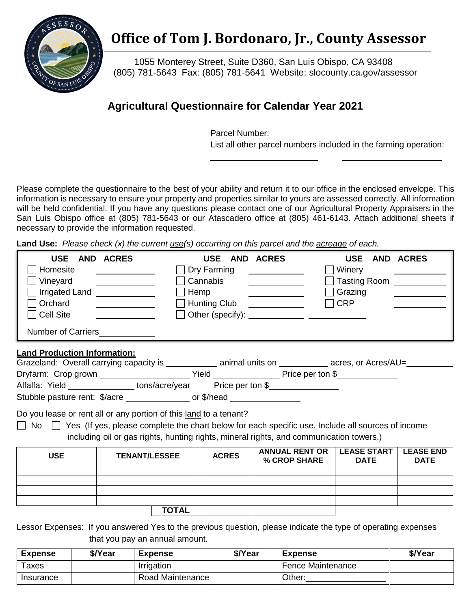

## **Office of Tom J. Bordonaro, Jr., County Assessor**

 (805) 781-5643 Fax: (805) 781-5641 Website: [slocounty.ca.gov/assessor](https://slocounty.ca.gov/assessor) 1055 Monterey Street, Suite D360, San Luis Obispo, CA 93408

## **Agricultural Questionnaire for Calendar Year 2021**

Parcel Number:

List all other parcel numbers included in the farming operation:

 Please complete the questionnaire to the best of your ability and return it to our office in the enclosed envelope. This information is necessary to ensure your property and properties similar to yours are assessed correctly. All information will be held confidential. If you have any questions please contact one of our Agricultural Property Appraisers in the San Luis Obispo office at (805) 781-5643 or our Atascadero office at (805) 461-6143. Attach additional sheets if necessary to provide the information requested.

Land Use: Please check (x) the current use(s) occurring on this parcel and the *acreage* of each.

| <b>USE</b>                                                                        | AND ACRES                                                                                                                                                                                                                            | <b>USE</b>                       | AND ACRES                                                                                                                                                                                                                            | <b>USE</b>                                 | AND ACRES                       |  |  |  |  |
|-----------------------------------------------------------------------------------|--------------------------------------------------------------------------------------------------------------------------------------------------------------------------------------------------------------------------------------|----------------------------------|--------------------------------------------------------------------------------------------------------------------------------------------------------------------------------------------------------------------------------------|--------------------------------------------|---------------------------------|--|--|--|--|
| Homesite                                                                          | <u> 1989 - Jan Stein Stein Stein Stein Stein Stein Stein Stein Stein Stein Stein Stein Stein Stein Stein Stein Stein Stein Stein Stein Stein Stein Stein Stein Stein Stein Stein Stein Stein Stein Stein Stein Stein Stein Stein</u> | Dry Farming                      | <u> 1989 - Andrea State</u>                                                                                                                                                                                                          | Winery                                     |                                 |  |  |  |  |
| Vineyard                                                                          | <u> The Communication of the Communication of the Communication of the Communication of the Communication of the Communication of the Communication of the Communication of the Communication of the Communication of the Commun</u> | Cannabis                         | <u> The Communication of the Communication of the Communication of the Communication of the Communication of the Communication of the Communication of the Communication of the Communication of the Communication of the Commun</u> | Tasting Room <u>New York New York 1989</u> |                                 |  |  |  |  |
| Irrigated Land <b>Figure 2016</b>                                                 |                                                                                                                                                                                                                                      | Hemp                             |                                                                                                                                                                                                                                      | Grazing                                    |                                 |  |  |  |  |
| Orchard                                                                           |                                                                                                                                                                                                                                      | Hunting Club <u>____________</u> |                                                                                                                                                                                                                                      | <b>CRP</b>                                 |                                 |  |  |  |  |
| $\Box$ Cell Site                                                                  |                                                                                                                                                                                                                                      |                                  |                                                                                                                                                                                                                                      |                                            |                                 |  |  |  |  |
| Number of Carriers<br>Number of Carriers                                          |                                                                                                                                                                                                                                      |                                  |                                                                                                                                                                                                                                      |                                            |                                 |  |  |  |  |
| Land Production Information:                                                      |                                                                                                                                                                                                                                      |                                  |                                                                                                                                                                                                                                      |                                            |                                 |  |  |  |  |
|                                                                                   | Grazeland: Overall carrying capacity is _____________ animal units on __________ acres, or Acres/AU=_________                                                                                                                        |                                  |                                                                                                                                                                                                                                      |                                            |                                 |  |  |  |  |
|                                                                                   |                                                                                                                                                                                                                                      |                                  |                                                                                                                                                                                                                                      |                                            |                                 |  |  |  |  |
| Alfalfa: Yield _________________tons/acre/year Price per ton \$__________________ |                                                                                                                                                                                                                                      |                                  |                                                                                                                                                                                                                                      |                                            |                                 |  |  |  |  |
| Stubble pasture rent: \$/acre ________________ or \$/head _________________       |                                                                                                                                                                                                                                      |                                  |                                                                                                                                                                                                                                      |                                            |                                 |  |  |  |  |
| Do you lease or rent all or any portion of this land to a tenant?                 |                                                                                                                                                                                                                                      |                                  |                                                                                                                                                                                                                                      |                                            |                                 |  |  |  |  |
|                                                                                   | $\Box$ No $\Box$ Yes (If yes, please complete the chart below for each specific use. Include all sources of income                                                                                                                   |                                  |                                                                                                                                                                                                                                      |                                            |                                 |  |  |  |  |
|                                                                                   | including oil or gas rights, hunting rights, mineral rights, and communication towers.)                                                                                                                                              |                                  |                                                                                                                                                                                                                                      |                                            |                                 |  |  |  |  |
| <b>USE</b>                                                                        | <b>TENANT/LESSEE</b>                                                                                                                                                                                                                 | <b>ACRES</b>                     | <b>ANNUAL RENT OR</b><br>% CROP SHARE                                                                                                                                                                                                | <b>LEASE START</b><br><b>DATE</b>          | <b>LEASE END</b><br><b>DATE</b> |  |  |  |  |
|                                                                                   |                                                                                                                                                                                                                                      |                                  |                                                                                                                                                                                                                                      |                                            |                                 |  |  |  |  |
|                                                                                   |                                                                                                                                                                                                                                      |                                  |                                                                                                                                                                                                                                      |                                            |                                 |  |  |  |  |
|                                                                                   |                                                                                                                                                                                                                                      |                                  |                                                                                                                                                                                                                                      |                                            |                                 |  |  |  |  |
|                                                                                   | <b>TOTAL</b>                                                                                                                                                                                                                         |                                  |                                                                                                                                                                                                                                      |                                            |                                 |  |  |  |  |
|                                                                                   |                                                                                                                                                                                                                                      |                                  |                                                                                                                                                                                                                                      |                                            |                                 |  |  |  |  |

 Lessor Expenses: If you answered Yes to the previous question, please indicate the type of operating expenses that you pay an annual amount.

| <b>Expense</b> | \$/Year | Expense          | \$/Year | <b>Expense</b>    | \$/Year |
|----------------|---------|------------------|---------|-------------------|---------|
| Taxes          |         | Irrigation       |         | Fence Maintenance |         |
| Insurance      |         | Road Maintenance |         | Other:            |         |